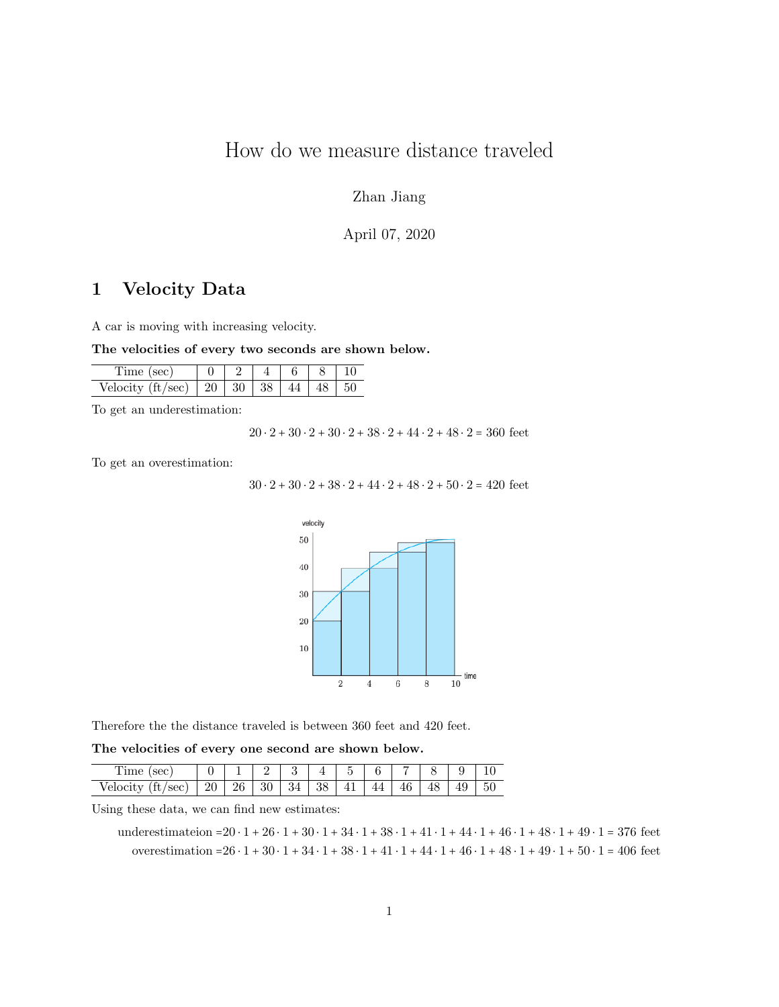# How do we measure distance traveled

### Zhan Jiang

### April 07, 2020

## 1 Velocity Data

A car is moving with increasing velocity.

The velocities of every two seconds are shown below.

| $/$ sec $)$   20   30   38  <br>Veloc |  |  | 50 |
|---------------------------------------|--|--|----|

To get an underestimation:

 $20 \cdot 2 + 30 \cdot 2 + 30 \cdot 2 + 38 \cdot 2 + 44 \cdot 2 + 48 \cdot 2 = 360$  feet

To get an overestimation:

 $30 \cdot 2 + 30 \cdot 2 + 38 \cdot 2 + 44 \cdot 2 + 48 \cdot 2 + 50 \cdot 2 = 420$  feet



Therefore the the distance traveled is between 360 feet and 420 feet.

The velocities of every one second are shown below.

| $\sim$<br>ouu                    |    |    |          |   |    | ٠ |     |          |   |    |    |
|----------------------------------|----|----|----------|---|----|---|-----|----------|---|----|----|
| sec<br>en<br>ΠU<br><b>CTOCT0</b> | 20 | 26 | 30<br>υ∪ | ◡ | 38 |   | 4 4 | 16<br>ΙV | ∸ | 49 | 50 |

Using these data, we can find new estimates:

underestimateion =20 ⋅ 1 + 26 ⋅ 1 + 30 ⋅ 1 + 34 ⋅ 1 + 38 ⋅ 1 + 41 ⋅ 1 + 44 ⋅ 1 + 46 ⋅ 1 + 48 ⋅ 1 + 49 ⋅ 1 = 376 feet overestimation =26  $\cdot$  1 + 30  $\cdot$  1 + 34  $\cdot$  1 + 38  $\cdot$  1 + 41  $\cdot$  1 + 44  $\cdot$  1 + 46  $\cdot$  1 + 48  $\cdot$  1 + 49  $\cdot$  1 + 50  $\cdot$  1 = 406 feet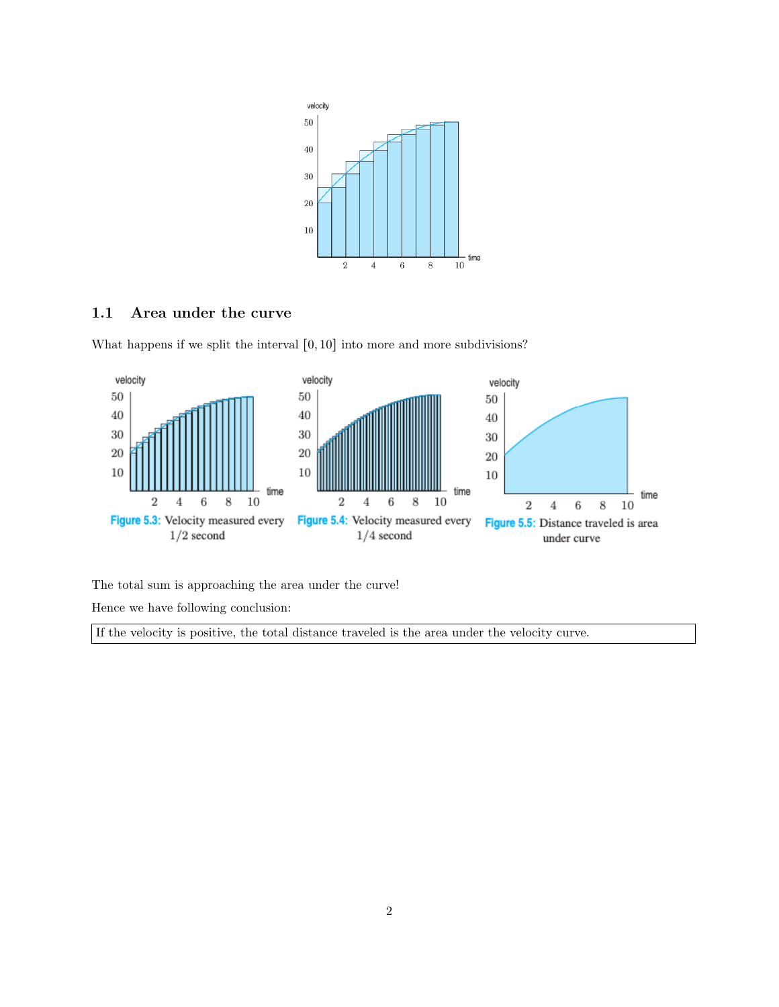

#### 1.1 Area under the curve

What happens if we split the interval  $[0, 10]$  into more and more subdivisions?



The total sum is approaching the area under the curve!

Hence we have following conclusion:

If the velocity is positive, the total distance traveled is the area under the velocity curve.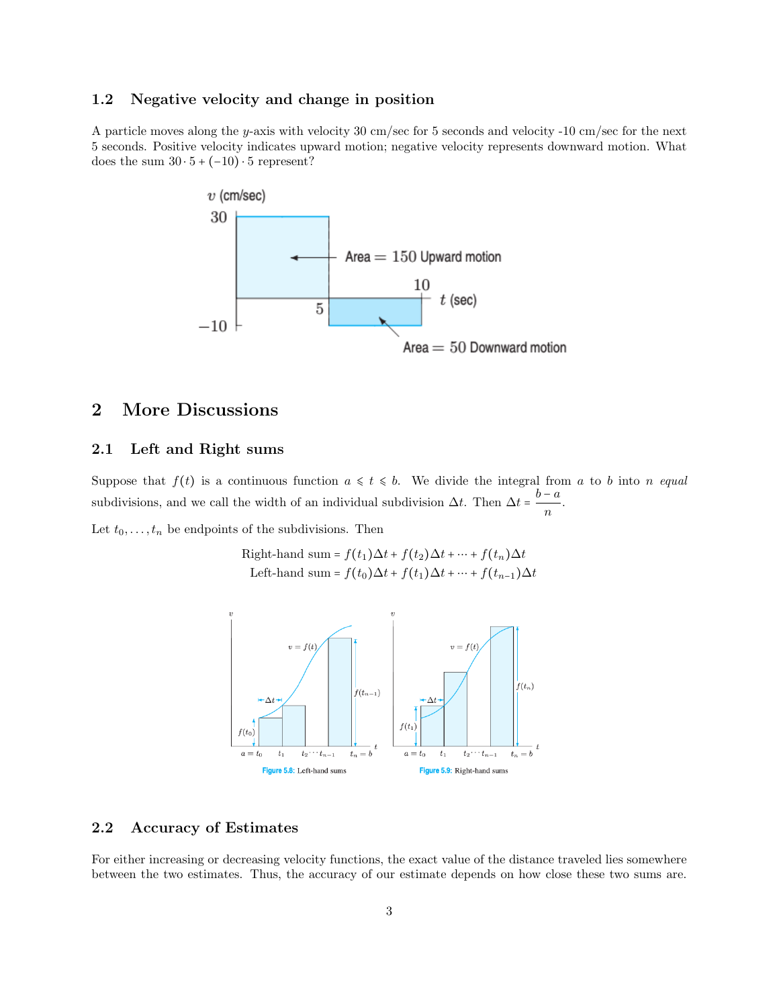#### 1.2 Negative velocity and change in position

A particle moves along the y-axis with velocity 30 cm/sec for 5 seconds and velocity -10 cm/sec for the next 5 seconds. Positive velocity indicates upward motion; negative velocity represents downward motion. What does the sum  $30 \cdot 5 + (-10) \cdot 5$  represent?



## 2 More Discussions

#### 2.1 Left and Right sums

Suppose that  $f(t)$  is a continuous function  $a \leq t \leq b$ . We divide the integral from a to b into n equal subdivisions, and we call the width of an individual subdivision  $\Delta t$ . Then  $\Delta t = \frac{b - a}{\Delta t}$  $\frac{a}{n}$ .

Let  $t_0, \ldots, t_n$  be endpoints of the subdivisions. Then

Right-hand sum = 
$$
f(t_1)\Delta t + f(t_2)\Delta t + \cdots + f(t_n)\Delta t
$$
  
Left-hand sum =  $f(t_0)\Delta t + f(t_1)\Delta t + \cdots + f(t_{n-1})\Delta t$ 



#### 2.2 Accuracy of Estimates

For either increasing or decreasing velocity functions, the exact value of the distance traveled lies somewhere between the two estimates. Thus, the accuracy of our estimate depends on how close these two sums are.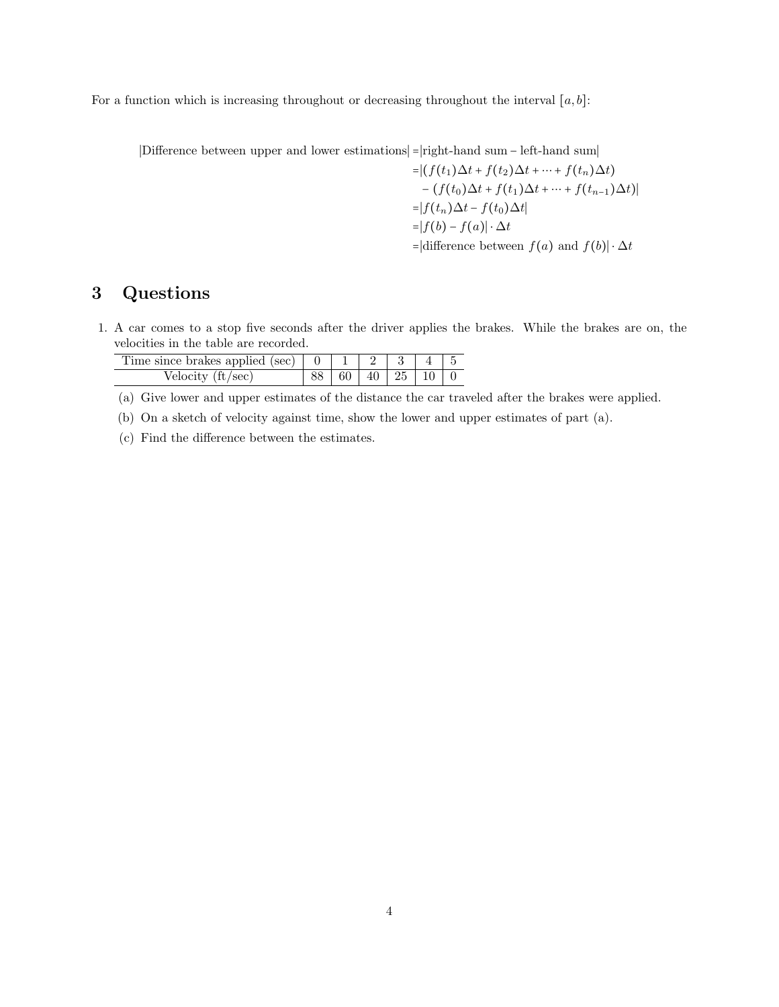For a function which is increasing throughout or decreasing throughout the interval  $[a, b]$ :

∣Difference between upper and lower estimations∣ =∣right-hand sum − left-hand sum∣

$$
= |(f(t_1)\Delta t + f(t_2)\Delta t + \dots + f(t_n)\Delta t) - (f(t_0)\Delta t + f(t_1)\Delta t + \dots + f(t_{n-1})\Delta t)|
$$
  
= |f(t\_n)\Delta t - f(t\_0)\Delta t|  
= |f(b) - f(a)| \cdot \Delta t  
= |difference between f(a) and f(b)| \cdot \Delta t

## 3 Questions

1. A car comes to a stop five seconds after the driver applies the brakes. While the brakes are on, the velocities in the table are recorded.

| Velocity $\text{(ft/sec)}$ |  |  | $60 \mid 40 \mid 25 \mid 10 \mid 0$ |  |
|----------------------------|--|--|-------------------------------------|--|

(a) Give lower and upper estimates of the distance the car traveled after the brakes were applied.

- (b) On a sketch of velocity against time, show the lower and upper estimates of part (a).
- (c) Find the difference between the estimates.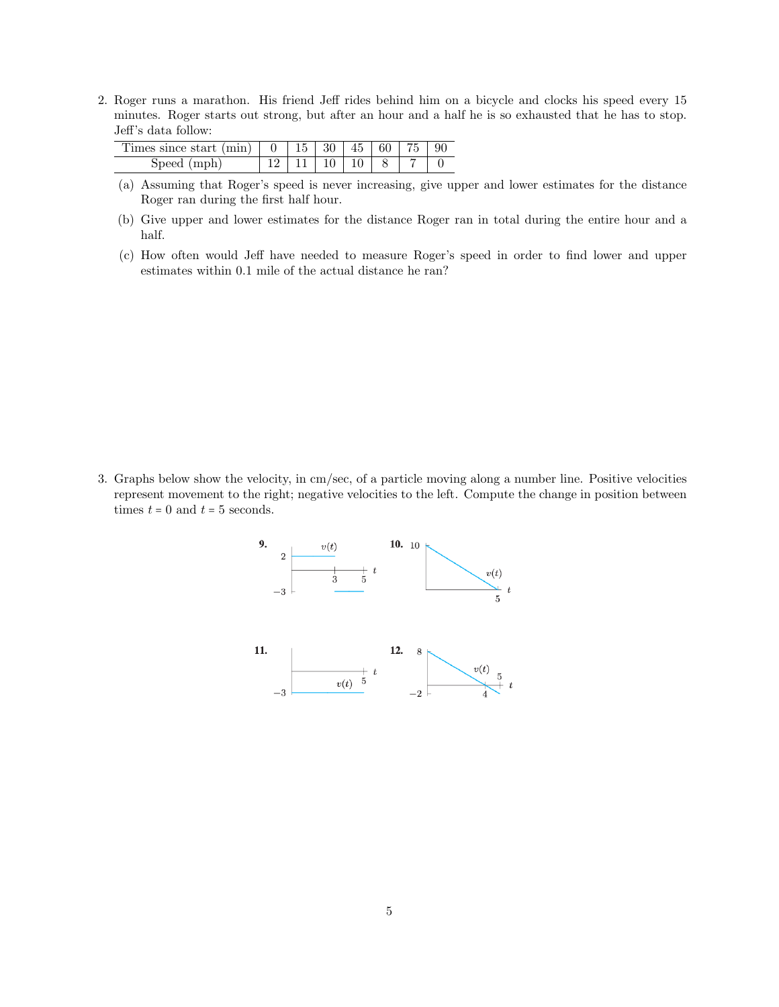2. Roger runs a marathon. His friend Jeff rides behind him on a bicycle and clocks his speed every 15 minutes. Roger starts out strong, but after an hour and a half he is so exhausted that he has to stop. Jeff's data follow:

| Times since start (min)   $0$   $15$   $30$   $45$   $60$   $75$   $90$ |  |                                             |  |  |
|-------------------------------------------------------------------------|--|---------------------------------------------|--|--|
| mph)<br><b>Speed</b>                                                    |  | $-11$ $\boxed{10}$ $\boxed{10}$ $\boxed{8}$ |  |  |

- (a) Assuming that Roger's speed is never increasing, give upper and lower estimates for the distance Roger ran during the first half hour.
- (b) Give upper and lower estimates for the distance Roger ran in total during the entire hour and a half.
- (c) How often would Jeff have needed to measure Roger's speed in order to find lower and upper estimates within 0.1 mile of the actual distance he ran?

3. Graphs below show the velocity, in cm/sec, of a particle moving along a number line. Positive velocities represent movement to the right; negative velocities to the left. Compute the change in position between times  $t = 0$  and  $t = 5$  seconds.